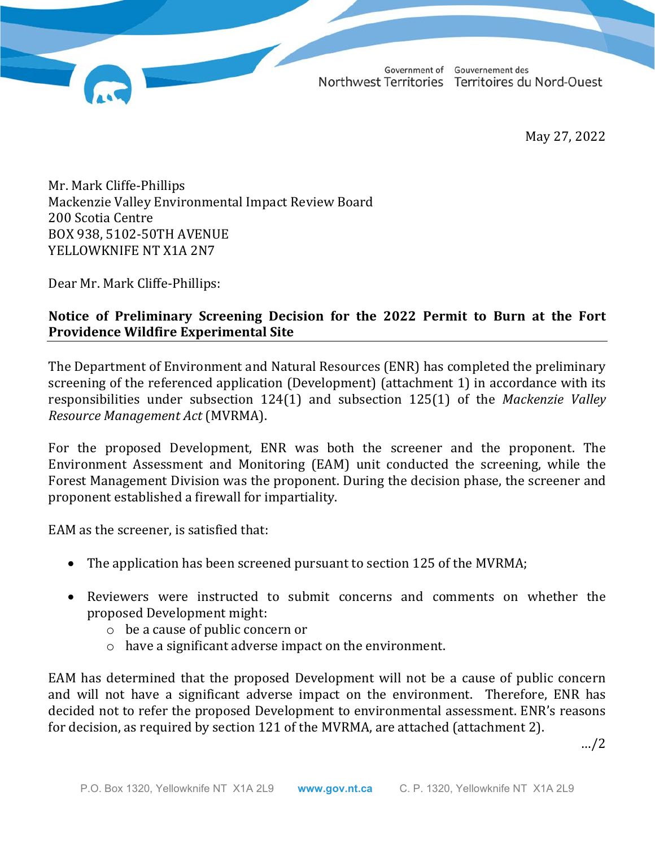Government of Gouvernement des Northwest Territories Territoires du Nord-Ouest

May 27, 2022

Mr. Mark Cliffe-Phillips Mackenzie Valley Environmental Impact Review Board 200 Scotia Centre BOX 938, 5102-50TH AVENUE YELLOWKNIFE NT X1A 2N7

Dear Mr. Mark Cliffe-Phillips:

# **Notice of Preliminary Screening Decision for the 2022 Permit to Burn at the Fort Providence Wildfire Experimental Site**

The Department of Environment and Natural Resources (ENR) has completed the preliminary screening of the referenced application (Development) (attachment 1) in accordance with its responsibilities under subsection 124(1) and subsection 125(1) of the *Mackenzie Valley Resource Management Act* (MVRMA).

For the proposed Development, ENR was both the screener and the proponent. The Environment Assessment and Monitoring (EAM) unit conducted the screening, while the Forest Management Division was the proponent. During the decision phase, the screener and proponent established a firewall for impartiality.

EAM as the screener, is satisfied that:

- The application has been screened pursuant to section 125 of the MVRMA;
- Reviewers were instructed to submit concerns and comments on whether the proposed Development might:
	- o be a cause of public concern or
	- o have a significant adverse impact on the environment.

EAM has determined that the proposed Development will not be a cause of public concern and will not have a significant adverse impact on the environment. Therefore, ENR has decided not to refer the proposed Development to environmental assessment. ENR's reasons for decision, as required by section 121 of the MVRMA, are attached (attachment 2).

…/2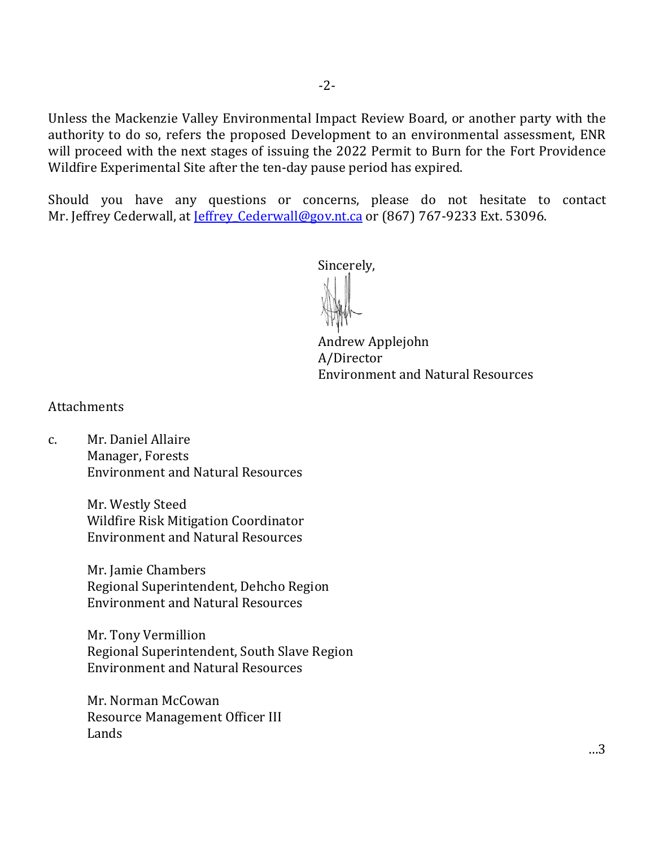Unless the Mackenzie Valley Environmental Impact Review Board, or another party with the authority to do so, refers the proposed Development to an environmental assessment, ENR will proceed with the next stages of issuing the 2022 Permit to Burn for the Fort Providence Wildfire Experimental Site after the ten-day pause period has expired.

Should you have any questions or concerns, please do not hesitate to contact Mr. Jeffrey Cederwall, at Jeffrey Cederwall@gov.nt.ca or (867) 767-9233 Ext. 53096.

Sincerely,

 Andrew Applejohn A/Director Environment and Natural Resources

**Attachments** 

c. Mr. Daniel Allaire Manager, Forests Environment and Natural Resources

> Mr. Westly Steed Wildfire Risk Mitigation Coordinator Environment and Natural Resources

Mr. Jamie Chambers Regional Superintendent, Dehcho Region Environment and Natural Resources

Mr. Tony Vermillion Regional Superintendent, South Slave Region Environment and Natural Resources

Mr. Norman McCowan Resource Management Officer III Lands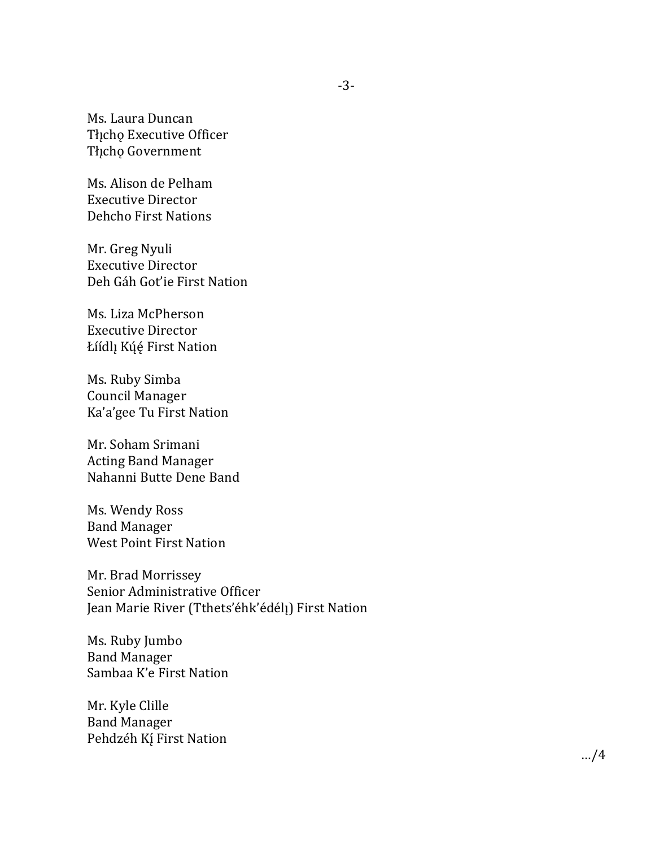Ms. Laura Duncan Tłįcho Executive Officer Tłįcho Government

Ms. Alison de Pelham Executive Director Dehcho First Nations

Mr. Greg Nyuli Executive Director Deh Gáh Got'ie First Nation

Ms. Liza McPherson Executive Director Łíídlį Kúę́ First Nation

Ms. Ruby Simba Council Manager Ka'a'gee Tu First Nation

Mr. Soham Srimani Acting Band Manager Nahanni Butte Dene Band

Ms. Wendy Ross Band Manager West Point First Nation

Mr. Brad Morrissey Senior Administrative Officer Jean Marie River (Tthets'éhk'édél!) First Nation

Ms. Ruby Jumbo Band Manager Sambaa K'e First Nation

Mr. Kyle Clille Band Manager Pehdzéh Kí First Nation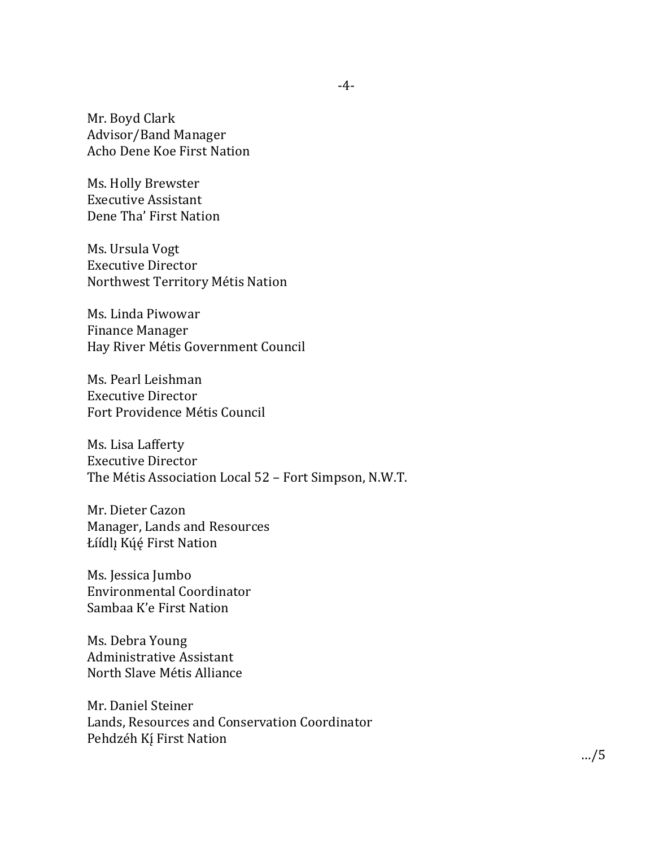Mr. Boyd Clark Advisor/Band Manager Acho Dene Koe First Nation

Ms. Holly Brewster Executive Assistant Dene Tha' First Nation

Ms. Ursula Vogt Executive Director Northwest Territory Métis Nation

Ms. Linda Piwowar Finance Manager Hay River Métis Government Council

Ms. Pearl Leishman Executive Director Fort Providence Métis Council

Ms. Lisa Lafferty Executive Director The Métis Association Local 52 – Fort Simpson, N.W.T.

Mr. Dieter Cazon Manager, Lands and Resources Łíídlı Kúé First Nation

Ms. Jessica Jumbo Environmental Coordinator Sambaa K'e First Nation

Ms. Debra Young Administrative Assistant North Slave Métis Alliance

Mr. Daniel Steiner Lands, Resources and Conservation Coordinator Pehdzéh Kí First Nation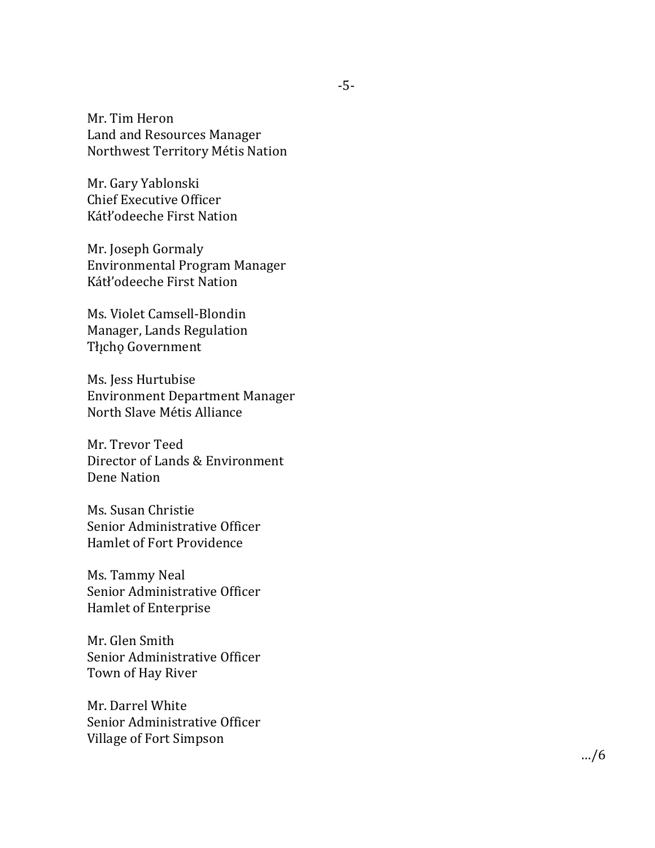Mr. Tim Heron Land and Resources Manager Northwest Territory Métis Nation

Mr. Gary Yablonski Chief Executive Officer Kátł'odeeche First Nation

Mr. Joseph Gormaly Environmental Program Manager Kátł'odeeche First Nation

Ms. Violet Camsell -Blondin Manager, Lands Regulation Tłįcho Government

Ms. Jess Hurtubise Environment Department Manager North Slave Métis Alliance

Mr. Trevor Teed Director of Lands & Environment Dene Nation

Ms. Susan Christie Senior Administrative Officer Hamlet of Fort Providence

Ms. Tammy Neal Senior Administrative Officer Hamlet of Enterprise

Mr. Glen Smith Senior Administrative Officer Town of Hay River

Mr. Darrel White Senior Administrative Officer Village of Fort Simpson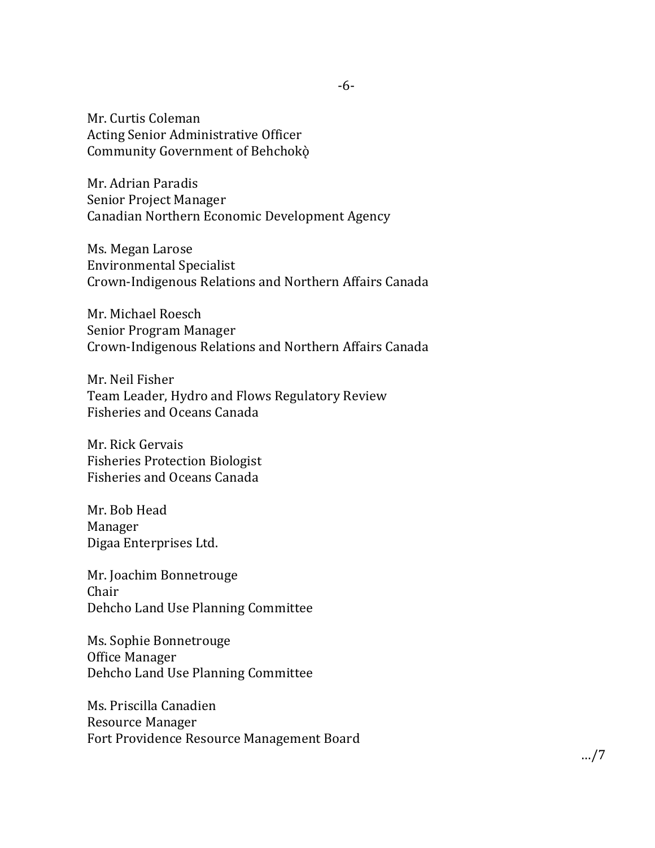Mr. Curtis Coleman Acting Senior Administrative Officer Community Government of Behchokò

Mr. Adrian Paradis Senior Project Manager Canadian Northern Economic Development Agency

Ms. Megan Larose Environmental Specialist Crown-Indigenous Relations and Northern Affairs Canada

Mr. Michael Roesch Senior Program Manager Crown-Indigenous Relations and Northern Affairs Canada

Mr. Neil Fisher Team Leader, Hydro and Flows Regulatory Review Fisheries and Oceans Canada

Mr. Rick Gervais Fisheries Protection Biologist Fisheries and Oceans Canada

Mr. Bob Head Manager Digaa Enterprises Ltd.

Mr. Joachim Bonnetrouge Chair Dehcho Land Use Planning Committee

Ms. Sophie Bonnetrouge Office Manager Dehcho Land Use Planning Committee

Ms. Priscilla Canadien Resource Manager Fort Providence Resource Management Board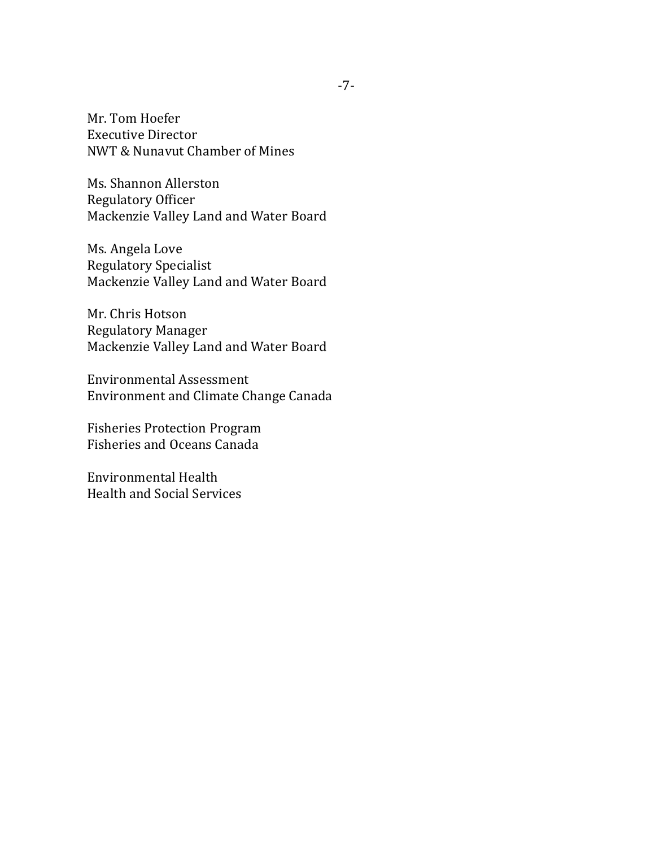Mr. Tom Hoefer Executive Director NWT & Nunavut Chamber of Mines

Ms. Shannon Allerston Regulatory Officer Mackenzie Valley Land and Water Board

Ms. Angela Love Regulatory Specialist Mackenzie Valley Land and Water Board

Mr. Chris Hotson Regulatory Manager Mackenzie Valley Land and Water Board

Environmental Assessment Environment and Climate Change Canada

Fisheries Protection Program Fisheries and Oceans Canada

Environmental Health Health and Social Services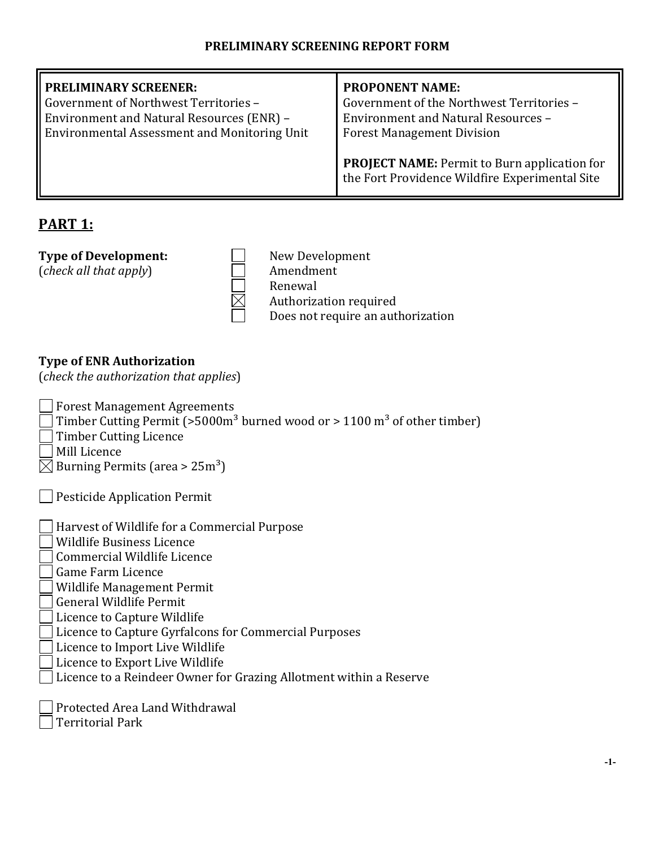| <b>PRELIMINARY SCREENER:</b><br>Government of Northwest Territories -<br>Environment and Natural Resources (ENR) -<br><b>Environmental Assessment and Monitoring Unit</b> | <b>PROPONENT NAME:</b><br>Government of the Northwest Territories -<br><b>Environment and Natural Resources -</b><br><b>Forest Management Division</b><br><b>PROJECT NAME:</b> Permit to Burn application for<br>the Fort Providence Wildfire Experimental Site |
|---------------------------------------------------------------------------------------------------------------------------------------------------------------------------|-----------------------------------------------------------------------------------------------------------------------------------------------------------------------------------------------------------------------------------------------------------------|
|                                                                                                                                                                           |                                                                                                                                                                                                                                                                 |

# **PART 1:**

(*check all that apply*)

**Type of Development:**<br>  ${\begin{array}{c} \hline \text{New Development} \\ \text{Oneck all that apply} \end{array}}$ Renewal Authorization required Does not require an authorization

# **Type of ENR Authorization**

(*check the authorization that applies*)

- Forest Management Agreements
- Timber Cutting Permit (>5000m<sup>3</sup> burned wood or > 1100 m<sup>3</sup> of other timber)
- Timber Cutting Licence
- Mill Licence
- $\boxtimes$  Burning Permits (area > 25m<sup>3</sup>)

- $\overline{a}$ Harvest of Wildlife for a Commercial Purpose
- Wildlife Business Licence
- Commercial Wildlife Licence
- Game Farm Licence
- Wildlife Management Permit
- General Wildlife Permit
- Licence to Capture Wildlife
- Licence to Capture Gyrfalcons for Commercial Purposes
- Licence to Import Live Wildlife
- Licence to Export Live Wildlife
- Licence to a Reindeer Owner for Grazing Allotment within a Reserve

Protected Area Land Withdrawal

Territorial Park

 $\overline{a}$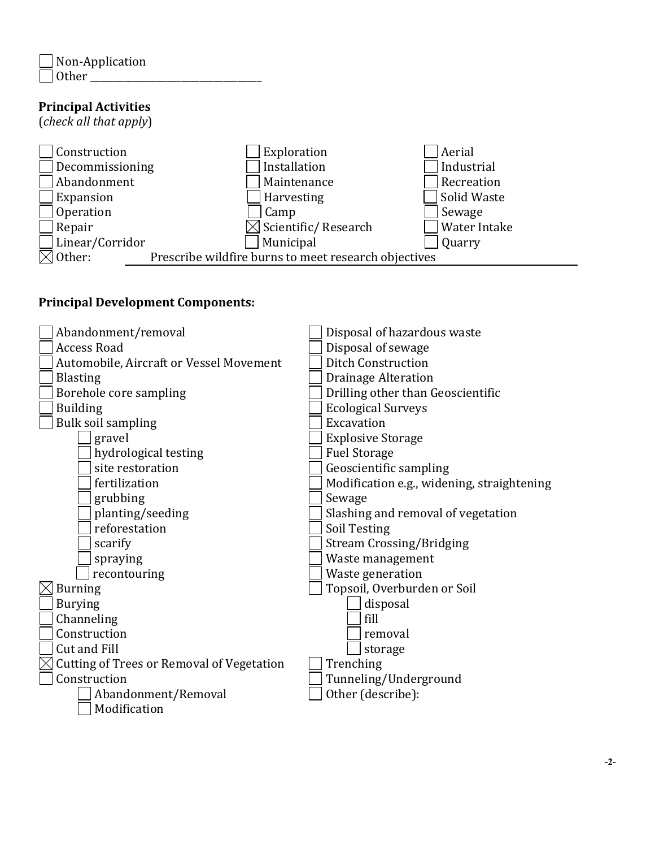$\overline{a}$ 

# **Principal Activities**

(*check all that apply*)



## **Principal Development Components:**

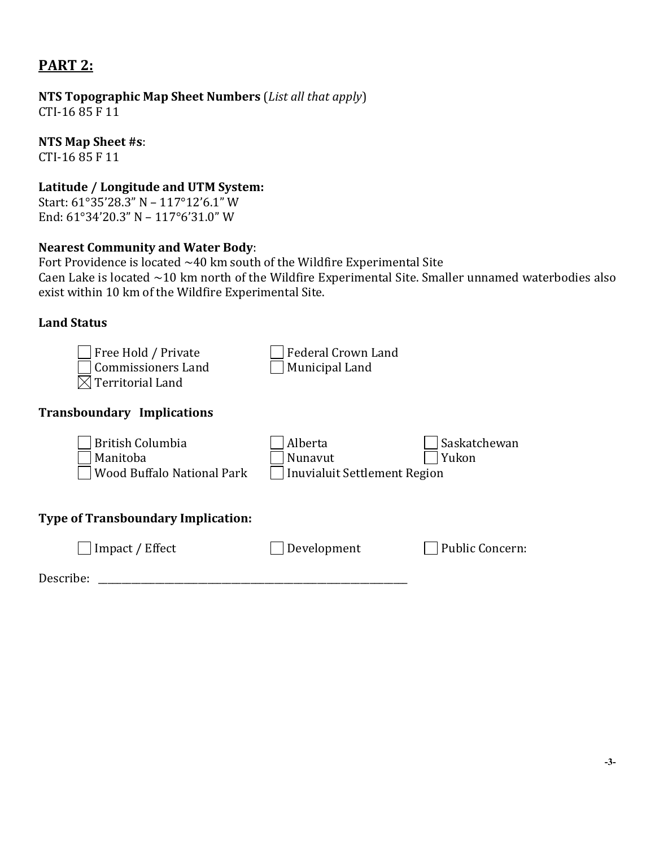# **PART 2:**

**NTS Topographic Map Sheet Numbers** (*List all that apply*) CTI-16 85 F 11

### **NTS Map Sheet #s**:

CTI-16 85 F 11

## **Latitude / Longitude and UTM System:**

Start: 61°35'28.3" N – 117°12'6.1" W End: 61°34'20.3" N – 117°6'31.0" W

## **Nearest Community and Water Body**:

Fort Providence is located  $~40$  km south of the Wildfire Experimental Site Caen Lake is located ~10 km north of the Wildfire Experimental Site. Smaller unnamed waterbodies also exist within 10 km of the Wildfire Experimental Site.

## **Land Status**

| Free Hold / Private<br><b>Commissioners Land</b><br><b>Territorial Land</b> | <b>Federal Crown Land</b><br>Municipal Land               |                        |
|-----------------------------------------------------------------------------|-----------------------------------------------------------|------------------------|
| <b>Transboundary Implications</b>                                           |                                                           |                        |
| <b>British Columbia</b><br>Manitoba<br><b>Wood Buffalo National Park</b>    | Alberta<br>Nunavut<br><b>Inuvialuit Settlement Region</b> | Saskatchewan<br>Yukon  |
| <b>Type of Transboundary Implication:</b>                                   |                                                           |                        |
| Impact / Effect                                                             | Development                                               | <b>Public Concern:</b> |
| Describe:                                                                   |                                                           |                        |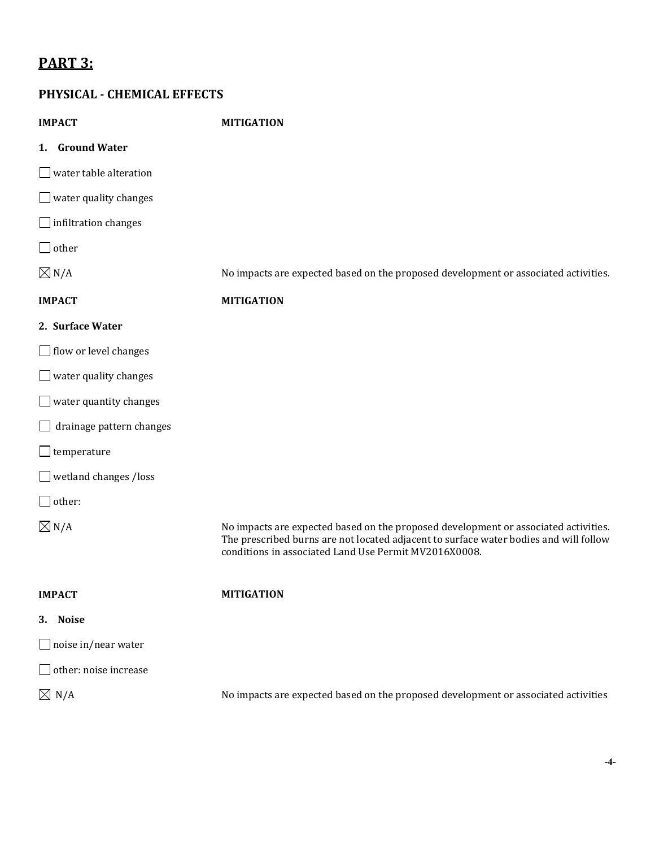# **PART 3:**

## **PHYSICAL - CHEMICAL EFFECTS**

| <b>IMPACT</b>                   | <b>MITIGATION</b>                                                                                                                                                                                                                     |
|---------------------------------|---------------------------------------------------------------------------------------------------------------------------------------------------------------------------------------------------------------------------------------|
| 1. Ground Water                 |                                                                                                                                                                                                                                       |
| $\Box$ water table alteration   |                                                                                                                                                                                                                                       |
| $\Box$ water quality changes    |                                                                                                                                                                                                                                       |
| $\Box$ infiltration changes     |                                                                                                                                                                                                                                       |
| $\Box$ other                    |                                                                                                                                                                                                                                       |
| $\boxtimes$ N/A                 | No impacts are expected based on the proposed development or associated activities.                                                                                                                                                   |
| <b>IMPACT</b>                   | <b>MITIGATION</b>                                                                                                                                                                                                                     |
| 2. Surface Water                |                                                                                                                                                                                                                                       |
| $\Box$ flow or level changes    |                                                                                                                                                                                                                                       |
| $\Box$ water quality changes    |                                                                                                                                                                                                                                       |
| $\Box$ water quantity changes   |                                                                                                                                                                                                                                       |
| $\Box$ drainage pattern changes |                                                                                                                                                                                                                                       |
| $\Box$ temperature              |                                                                                                                                                                                                                                       |
| $\Box$ wetland changes /loss    |                                                                                                                                                                                                                                       |
| $\Box$ other:                   |                                                                                                                                                                                                                                       |
| $\boxtimes$ N/A                 | No impacts are expected based on the proposed development or associated activities.<br>The prescribed burns are not located adjacent to surface water bodies and will follow<br>conditions in associated Land Use Permit MV2016X0008. |
| <b>IMPACT</b>                   | <b>MITIGATION</b>                                                                                                                                                                                                                     |
| 3. Noise                        |                                                                                                                                                                                                                                       |
| $\Box$ noise in/near water      |                                                                                                                                                                                                                                       |
| $\Box$ other: noise increase    |                                                                                                                                                                                                                                       |
| $\boxtimes$ N/A                 | No impacts are expected based on the proposed development or associated activities                                                                                                                                                    |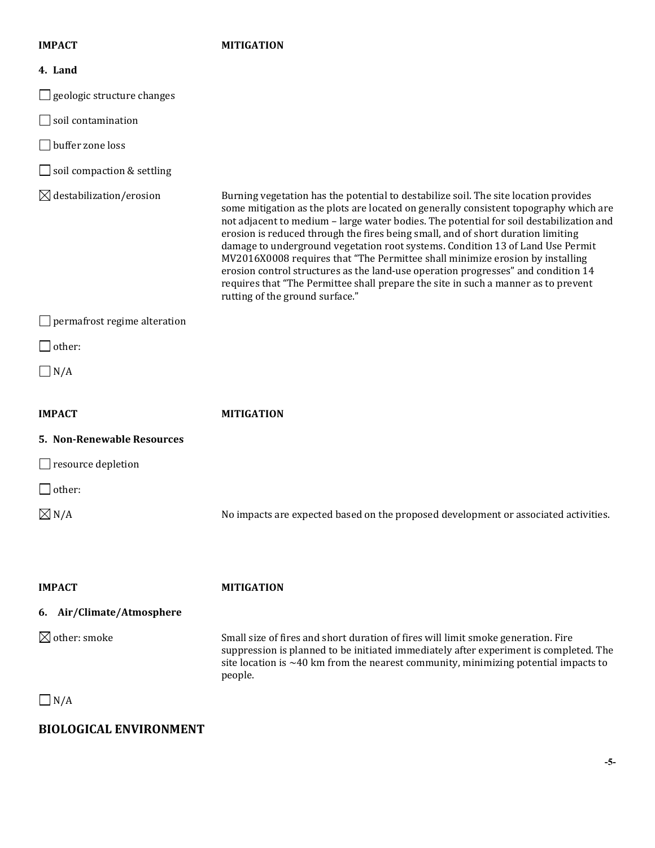#### **IMPACT MITIGATION**

| 4. Land                             |                                                                                                                                                                                                                                                                                                                                                                                                                                                                                                                                                                                                                                                                                                                                               |
|-------------------------------------|-----------------------------------------------------------------------------------------------------------------------------------------------------------------------------------------------------------------------------------------------------------------------------------------------------------------------------------------------------------------------------------------------------------------------------------------------------------------------------------------------------------------------------------------------------------------------------------------------------------------------------------------------------------------------------------------------------------------------------------------------|
| $\Box$ geologic structure changes   |                                                                                                                                                                                                                                                                                                                                                                                                                                                                                                                                                                                                                                                                                                                                               |
| $\Box$ soil contamination           |                                                                                                                                                                                                                                                                                                                                                                                                                                                                                                                                                                                                                                                                                                                                               |
| $\Box$ buffer zone loss             |                                                                                                                                                                                                                                                                                                                                                                                                                                                                                                                                                                                                                                                                                                                                               |
| $\Box$ soil compaction & settling   |                                                                                                                                                                                                                                                                                                                                                                                                                                                                                                                                                                                                                                                                                                                                               |
| $\boxtimes$ destabilization/erosion | Burning vegetation has the potential to destabilize soil. The site location provides<br>some mitigation as the plots are located on generally consistent topography which are<br>not adjacent to medium - large water bodies. The potential for soil destabilization and<br>erosion is reduced through the fires being small, and of short duration limiting<br>damage to underground vegetation root systems. Condition 13 of Land Use Permit<br>MV2016X0008 requires that "The Permittee shall minimize erosion by installing<br>erosion control structures as the land-use operation progresses" and condition 14<br>requires that "The Permittee shall prepare the site in such a manner as to prevent<br>rutting of the ground surface." |
| $\Box$ permafrost regime alteration |                                                                                                                                                                                                                                                                                                                                                                                                                                                                                                                                                                                                                                                                                                                                               |
| $\Box$ other:                       |                                                                                                                                                                                                                                                                                                                                                                                                                                                                                                                                                                                                                                                                                                                                               |
| $\Box$ N/A                          |                                                                                                                                                                                                                                                                                                                                                                                                                                                                                                                                                                                                                                                                                                                                               |
| <b>IMPACT</b>                       | <b>MITIGATION</b>                                                                                                                                                                                                                                                                                                                                                                                                                                                                                                                                                                                                                                                                                                                             |
| 5. Non-Renewable Resources          |                                                                                                                                                                                                                                                                                                                                                                                                                                                                                                                                                                                                                                                                                                                                               |
| $\Box$ resource depletion           |                                                                                                                                                                                                                                                                                                                                                                                                                                                                                                                                                                                                                                                                                                                                               |
| $\Box$ other:                       |                                                                                                                                                                                                                                                                                                                                                                                                                                                                                                                                                                                                                                                                                                                                               |
| $\boxtimes$ N/A                     | No impacts are expected based on the proposed development or associated activities.                                                                                                                                                                                                                                                                                                                                                                                                                                                                                                                                                                                                                                                           |
| <b>IMPACT</b>                       | <b>MITIGATION</b>                                                                                                                                                                                                                                                                                                                                                                                                                                                                                                                                                                                                                                                                                                                             |
| 6. Air/Climate/Atmosphere           |                                                                                                                                                                                                                                                                                                                                                                                                                                                                                                                                                                                                                                                                                                                                               |
| $\boxtimes$ other: smoke            | Small size of fires and short duration of fires will limit smoke generation. Fire<br>suppression is planned to be initiated immediately after experiment is completed. The<br>site location is $\sim$ 40 km from the nearest community, minimizing potential impacts to<br>people.                                                                                                                                                                                                                                                                                                                                                                                                                                                            |
| $\vert N/A \vert$                   |                                                                                                                                                                                                                                                                                                                                                                                                                                                                                                                                                                                                                                                                                                                                               |

# **BIOLOGICAL ENVIRONMENT**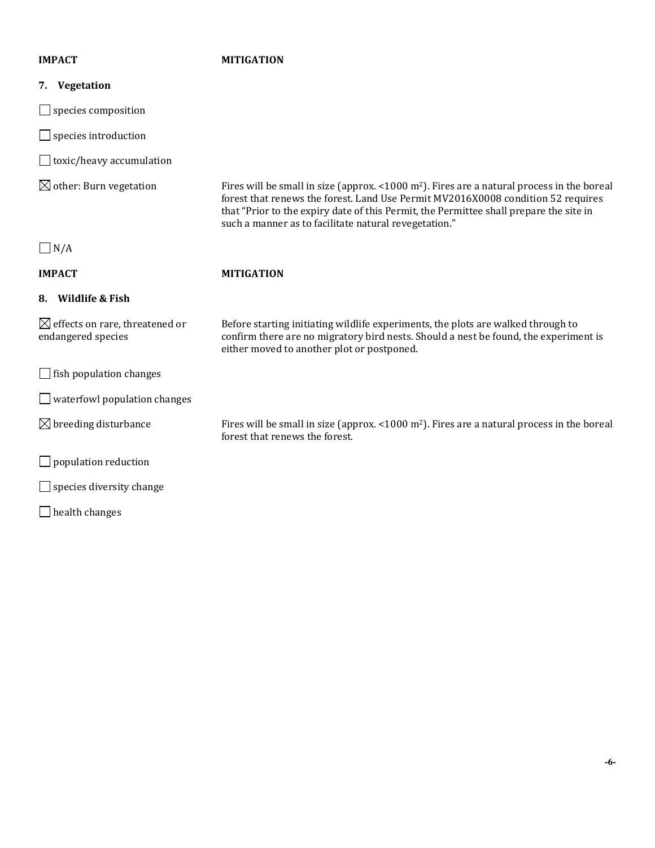### **IMPACT MITIGATION**

| Vegetation<br>7.                                                 |                                                                                                                                                                                                                                                                                                                                      |
|------------------------------------------------------------------|--------------------------------------------------------------------------------------------------------------------------------------------------------------------------------------------------------------------------------------------------------------------------------------------------------------------------------------|
| species composition                                              |                                                                                                                                                                                                                                                                                                                                      |
| species introduction                                             |                                                                                                                                                                                                                                                                                                                                      |
| toxic/heavy accumulation                                         |                                                                                                                                                                                                                                                                                                                                      |
| $\boxtimes$ other: Burn vegetation                               | Fires will be small in size (approx. <1000 $m^2$ ). Fires are a natural process in the boreal<br>forest that renews the forest. Land Use Permit MV2016X0008 condition 52 requires<br>that "Prior to the expiry date of this Permit, the Permittee shall prepare the site in<br>such a manner as to facilitate natural revegetation." |
| N/A                                                              |                                                                                                                                                                                                                                                                                                                                      |
| <b>IMPACT</b>                                                    | <b>MITIGATION</b>                                                                                                                                                                                                                                                                                                                    |
| 8. Wildlife & Fish                                               |                                                                                                                                                                                                                                                                                                                                      |
| $\boxtimes$ effects on rare, threatened or<br>endangered species | Before starting initiating wildlife experiments, the plots are walked through to<br>confirm there are no migratory bird nests. Should a nest be found, the experiment is<br>either moved to another plot or postponed.                                                                                                               |
| fish population changes                                          |                                                                                                                                                                                                                                                                                                                                      |
| waterfowl population changes                                     |                                                                                                                                                                                                                                                                                                                                      |
| $\boxtimes$ breeding disturbance                                 | Fires will be small in size (approx. <1000 $m^2$ ). Fires are a natural process in the boreal<br>forest that renews the forest.                                                                                                                                                                                                      |
| population reduction                                             |                                                                                                                                                                                                                                                                                                                                      |
| species diversity change                                         |                                                                                                                                                                                                                                                                                                                                      |
| health changes                                                   |                                                                                                                                                                                                                                                                                                                                      |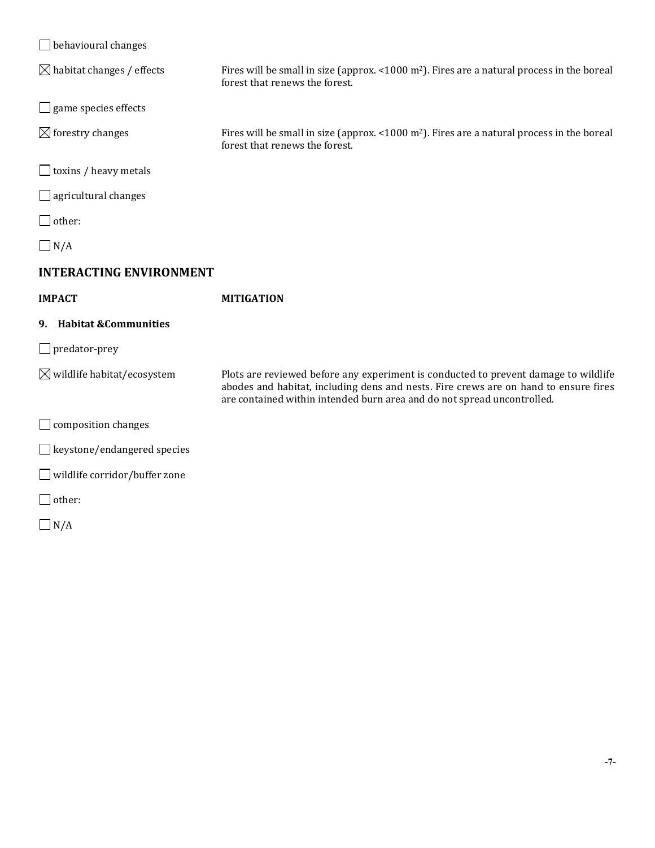| $\Box$ behavioural changes             |                                                                                                                                                                                                                                                        |
|----------------------------------------|--------------------------------------------------------------------------------------------------------------------------------------------------------------------------------------------------------------------------------------------------------|
| $\boxtimes$ habitat changes / effects  | Fires will be small in size (approx. <1000 $m^2$ ). Fires are a natural process in the boreal<br>forest that renews the forest.                                                                                                                        |
| $\Box$ game species effects            |                                                                                                                                                                                                                                                        |
| $\boxtimes$ forestry changes           | Fires will be small in size (approx. <1000 m <sup>2</sup> ). Fires are a natural process in the boreal<br>forest that renews the forest.                                                                                                               |
| $\Box$ toxins / heavy metals           |                                                                                                                                                                                                                                                        |
| $\Box$ agricultural changes            |                                                                                                                                                                                                                                                        |
| $\Box$ other:                          |                                                                                                                                                                                                                                                        |
| $\Box$ N/A                             |                                                                                                                                                                                                                                                        |
| <b>INTERACTING ENVIRONMENT</b>         |                                                                                                                                                                                                                                                        |
|                                        |                                                                                                                                                                                                                                                        |
| <b>IMPACT</b>                          | <b>MITIGATION</b>                                                                                                                                                                                                                                      |
| 9. Habitat & Communities               |                                                                                                                                                                                                                                                        |
| $\Box$ predator-prey                   |                                                                                                                                                                                                                                                        |
| $\boxtimes$ wildlife habitat/ecosystem | Plots are reviewed before any experiment is conducted to prevent damage to wildlife<br>abodes and habitat, including dens and nests. Fire crews are on hand to ensure fires<br>are contained within intended burn area and do not spread uncontrolled. |
| $\Box$ composition changes             |                                                                                                                                                                                                                                                        |
| $\Box$ keystone/endangered species     |                                                                                                                                                                                                                                                        |
| $\Box$ wildlife corridor/buffer zone   |                                                                                                                                                                                                                                                        |
| $\Box$ other:                          |                                                                                                                                                                                                                                                        |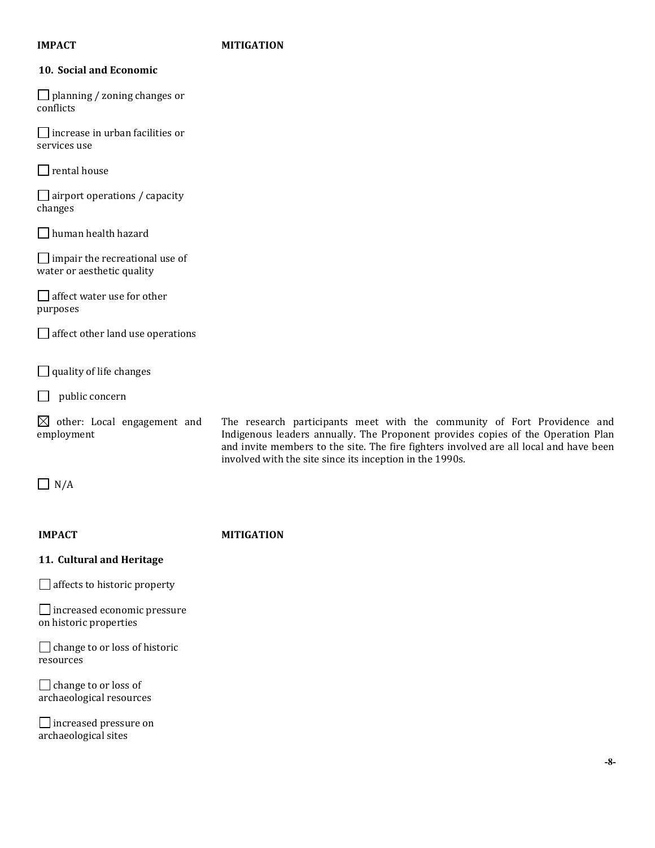### **IMPACT MITIGATION**

### **10. Social and Economic**

 $\Box$  planning / zoning changes or conflicts

 $\Box$  increase in urban facilities or services use

 $\Box$  rental house

 $\Box$  airport operations / capacity changes

human health hazard

 $\Box$  impair the recreational use of water or aesthetic quality

affect water use for other purposes

 $\Box$  affect other land use operations

 $\Box$  quality of life changes

 $\Box$  public concern

 $\boxtimes$  other: Local engagement and employment

The research participants meet with the community of Fort Providence and Indigenous leaders annually. The Proponent provides copies of the Operation Plan and invite members to the site. The fire fighters involved are all local and have been involved with the site since its inception in the 1990s.

 $\Box$  N/A

#### **IMPACT MITIGATION**

#### **11. Cultural and Heritage**

 $\Box$  affects to historic property

increased economic pressure on historic properties

 $\Box$  change to or loss of historic resources

 $\Box$  change to or loss of archaeological resources

**□** increased pressure on archaeological sites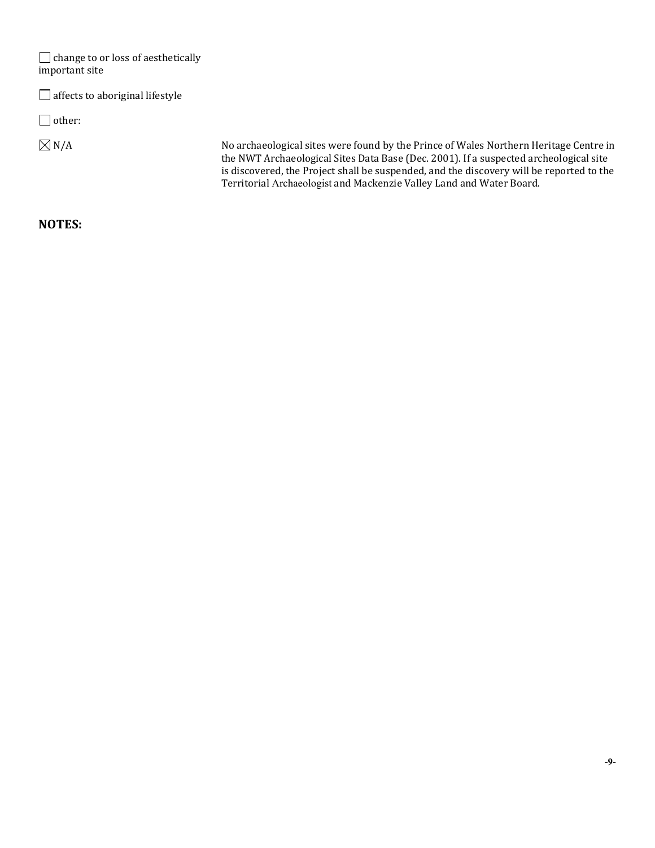| $\Box$ change to or loss of aesthetically<br>important site |                                                                                                                                                                                                                                                                                                                                                    |
|-------------------------------------------------------------|----------------------------------------------------------------------------------------------------------------------------------------------------------------------------------------------------------------------------------------------------------------------------------------------------------------------------------------------------|
| $\Box$ affects to aboriginal lifestyle                      |                                                                                                                                                                                                                                                                                                                                                    |
| $\Box$ other:                                               |                                                                                                                                                                                                                                                                                                                                                    |
| $\boxtimes$ N/A                                             | No archaeological sites were found by the Prince of Wales Northern Heritage Centre in<br>the NWT Archaeological Sites Data Base (Dec. 2001). If a suspected archeological site<br>is discovered, the Project shall be suspended, and the discovery will be reported to the<br>Territorial Archaeologist and Mackenzie Valley Land and Water Board. |

## **NOTES:**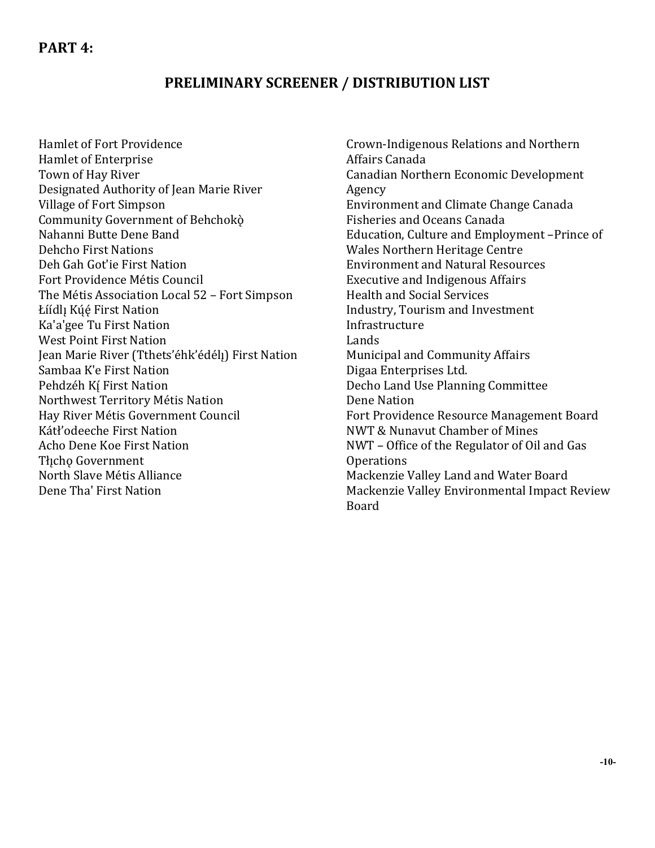# **PRELIMINARY SCREENER / DISTRIBUTION LIST**

Hamlet of Fort Providence Hamlet of Enterprise Town of Hay River Designated Authority of Jean Marie River Village of Fort Simpson Community Government of Behchokò Nahanni Butte Dene Band Dehcho First Nations Deh Gah Got'ie First Nation Fort Providence Métis Council The Métis Association Local 52 – Fort Simpson Łíídlı Kúé First Nation Ka'a'gee Tu First Nation West Point First Nation Jean Marie River (Tthets'éhk'édél!) First Nation Sambaa K'e First Nation Pehdzéh Kí First Nation Northwest Territory Métis Nation Hay River Métis Government Council Kátł'odeeche First Nation Acho Dene Koe First Nation Tłicho Government North Slave Métis Alliance Dene Tha' First Nation

Crown-Indigenous Relations and Northern Affairs Canada Canadian Northern Economic Development Agency Environment and Climate Change Canada Fisheries and Oceans Canada Education, Culture and Employment –Prince of Wales Northern Heritage Centre Environment and Natural Resources Executive and Indigenous Affairs Health and Social Services Industry, Tourism and Investment Infrastructure Lands Municipal and Community Affairs Digaa Enterprises Ltd. Decho Land Use Planning Committee Dene Nation Fort Providence Resource Management Board NWT & Nunavut Chamber of Mines NWT – Office of the Regulator of Oil and Gas Operations Mackenzie Valley Land and Water Board Mackenzie Valley Environmental Impact Review Board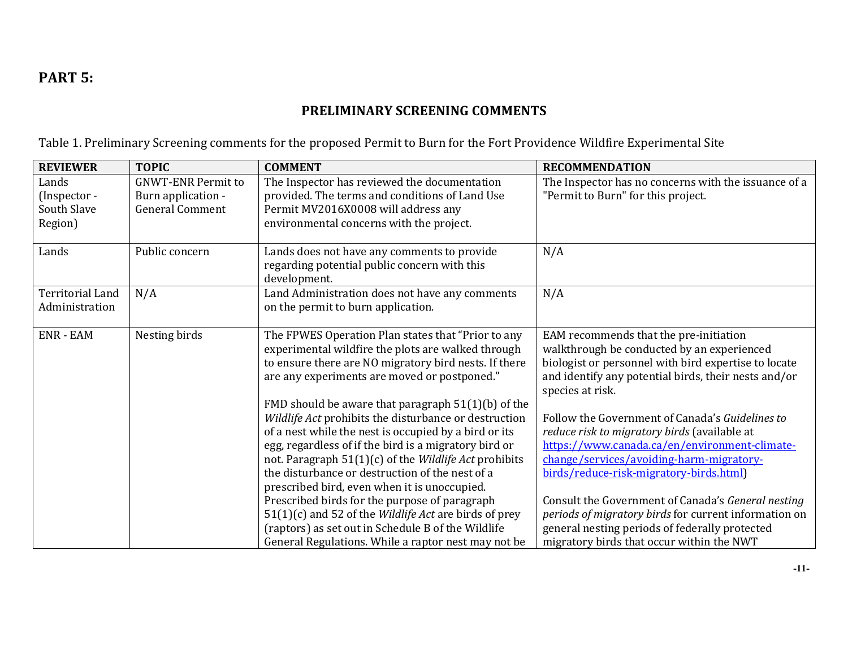# **PART 5:**

# **PRELIMINARY SCREENING COMMENTS**

Table 1. Preliminary Screening comments for the proposed Permit to Burn for the Fort Providence Wildfire Experimental Site

| The Inspector has reviewed the documentation<br>The Inspector has no concerns with the issuance of a<br><b>GNWT-ENR Permit to</b><br>Lands<br>provided. The terms and conditions of Land Use<br>"Permit to Burn" for this project.<br>Burn application -<br>(Inspector -<br>South Slave<br><b>General Comment</b><br>Permit MV2016X0008 will address any<br>Region)<br>environmental concerns with the project.<br>Lands<br>Lands does not have any comments to provide<br>N/A<br>Public concern<br>regarding potential public concern with this<br>development.<br><b>Territorial Land</b><br>N/A<br>Land Administration does not have any comments<br>N/A<br>on the permit to burn application.<br>Administration<br>Nesting birds<br><b>ENR - EAM</b><br>The FPWES Operation Plan states that "Prior to any<br>EAM recommends that the pre-initiation<br>experimental wildfire the plots are walked through<br>walkthrough be conducted by an experienced<br>biologist or personnel with bird expertise to locate<br>to ensure there are NO migratory bird nests. If there<br>are any experiments are moved or postponed."<br>and identify any potential birds, their nests and/or<br>species at risk.<br>FMD should be aware that paragraph 51(1)(b) of the<br>Wildlife Act prohibits the disturbance or destruction<br>Follow the Government of Canada's Guidelines to<br>of a nest while the nest is occupied by a bird or its<br>reduce risk to migratory birds (available at<br>egg, regardless of if the bird is a migratory bird or<br>https://www.canada.ca/en/environment-climate-<br>not. Paragraph 51(1)(c) of the Wildlife Act prohibits<br>change/services/avoiding-harm-migratory- | <b>REVIEWER</b> | <b>TOPIC</b> | <b>COMMENT</b>                                  | <b>RECOMMENDATION</b>                   |
|-----------------------------------------------------------------------------------------------------------------------------------------------------------------------------------------------------------------------------------------------------------------------------------------------------------------------------------------------------------------------------------------------------------------------------------------------------------------------------------------------------------------------------------------------------------------------------------------------------------------------------------------------------------------------------------------------------------------------------------------------------------------------------------------------------------------------------------------------------------------------------------------------------------------------------------------------------------------------------------------------------------------------------------------------------------------------------------------------------------------------------------------------------------------------------------------------------------------------------------------------------------------------------------------------------------------------------------------------------------------------------------------------------------------------------------------------------------------------------------------------------------------------------------------------------------------------------------------------------------------------------------------------------------------------------------------------------|-----------------|--------------|-------------------------------------------------|-----------------------------------------|
|                                                                                                                                                                                                                                                                                                                                                                                                                                                                                                                                                                                                                                                                                                                                                                                                                                                                                                                                                                                                                                                                                                                                                                                                                                                                                                                                                                                                                                                                                                                                                                                                                                                                                                     |                 |              |                                                 |                                         |
|                                                                                                                                                                                                                                                                                                                                                                                                                                                                                                                                                                                                                                                                                                                                                                                                                                                                                                                                                                                                                                                                                                                                                                                                                                                                                                                                                                                                                                                                                                                                                                                                                                                                                                     |                 |              |                                                 |                                         |
|                                                                                                                                                                                                                                                                                                                                                                                                                                                                                                                                                                                                                                                                                                                                                                                                                                                                                                                                                                                                                                                                                                                                                                                                                                                                                                                                                                                                                                                                                                                                                                                                                                                                                                     |                 |              |                                                 |                                         |
|                                                                                                                                                                                                                                                                                                                                                                                                                                                                                                                                                                                                                                                                                                                                                                                                                                                                                                                                                                                                                                                                                                                                                                                                                                                                                                                                                                                                                                                                                                                                                                                                                                                                                                     |                 |              |                                                 |                                         |
|                                                                                                                                                                                                                                                                                                                                                                                                                                                                                                                                                                                                                                                                                                                                                                                                                                                                                                                                                                                                                                                                                                                                                                                                                                                                                                                                                                                                                                                                                                                                                                                                                                                                                                     |                 |              |                                                 |                                         |
|                                                                                                                                                                                                                                                                                                                                                                                                                                                                                                                                                                                                                                                                                                                                                                                                                                                                                                                                                                                                                                                                                                                                                                                                                                                                                                                                                                                                                                                                                                                                                                                                                                                                                                     |                 |              |                                                 |                                         |
|                                                                                                                                                                                                                                                                                                                                                                                                                                                                                                                                                                                                                                                                                                                                                                                                                                                                                                                                                                                                                                                                                                                                                                                                                                                                                                                                                                                                                                                                                                                                                                                                                                                                                                     |                 |              |                                                 |                                         |
|                                                                                                                                                                                                                                                                                                                                                                                                                                                                                                                                                                                                                                                                                                                                                                                                                                                                                                                                                                                                                                                                                                                                                                                                                                                                                                                                                                                                                                                                                                                                                                                                                                                                                                     |                 |              |                                                 |                                         |
|                                                                                                                                                                                                                                                                                                                                                                                                                                                                                                                                                                                                                                                                                                                                                                                                                                                                                                                                                                                                                                                                                                                                                                                                                                                                                                                                                                                                                                                                                                                                                                                                                                                                                                     |                 |              |                                                 |                                         |
|                                                                                                                                                                                                                                                                                                                                                                                                                                                                                                                                                                                                                                                                                                                                                                                                                                                                                                                                                                                                                                                                                                                                                                                                                                                                                                                                                                                                                                                                                                                                                                                                                                                                                                     |                 |              |                                                 |                                         |
|                                                                                                                                                                                                                                                                                                                                                                                                                                                                                                                                                                                                                                                                                                                                                                                                                                                                                                                                                                                                                                                                                                                                                                                                                                                                                                                                                                                                                                                                                                                                                                                                                                                                                                     |                 |              |                                                 |                                         |
|                                                                                                                                                                                                                                                                                                                                                                                                                                                                                                                                                                                                                                                                                                                                                                                                                                                                                                                                                                                                                                                                                                                                                                                                                                                                                                                                                                                                                                                                                                                                                                                                                                                                                                     |                 |              |                                                 |                                         |
|                                                                                                                                                                                                                                                                                                                                                                                                                                                                                                                                                                                                                                                                                                                                                                                                                                                                                                                                                                                                                                                                                                                                                                                                                                                                                                                                                                                                                                                                                                                                                                                                                                                                                                     |                 |              |                                                 |                                         |
|                                                                                                                                                                                                                                                                                                                                                                                                                                                                                                                                                                                                                                                                                                                                                                                                                                                                                                                                                                                                                                                                                                                                                                                                                                                                                                                                                                                                                                                                                                                                                                                                                                                                                                     |                 |              |                                                 |                                         |
|                                                                                                                                                                                                                                                                                                                                                                                                                                                                                                                                                                                                                                                                                                                                                                                                                                                                                                                                                                                                                                                                                                                                                                                                                                                                                                                                                                                                                                                                                                                                                                                                                                                                                                     |                 |              |                                                 |                                         |
|                                                                                                                                                                                                                                                                                                                                                                                                                                                                                                                                                                                                                                                                                                                                                                                                                                                                                                                                                                                                                                                                                                                                                                                                                                                                                                                                                                                                                                                                                                                                                                                                                                                                                                     |                 |              |                                                 |                                         |
|                                                                                                                                                                                                                                                                                                                                                                                                                                                                                                                                                                                                                                                                                                                                                                                                                                                                                                                                                                                                                                                                                                                                                                                                                                                                                                                                                                                                                                                                                                                                                                                                                                                                                                     |                 |              |                                                 |                                         |
|                                                                                                                                                                                                                                                                                                                                                                                                                                                                                                                                                                                                                                                                                                                                                                                                                                                                                                                                                                                                                                                                                                                                                                                                                                                                                                                                                                                                                                                                                                                                                                                                                                                                                                     |                 |              |                                                 |                                         |
|                                                                                                                                                                                                                                                                                                                                                                                                                                                                                                                                                                                                                                                                                                                                                                                                                                                                                                                                                                                                                                                                                                                                                                                                                                                                                                                                                                                                                                                                                                                                                                                                                                                                                                     |                 |              |                                                 |                                         |
|                                                                                                                                                                                                                                                                                                                                                                                                                                                                                                                                                                                                                                                                                                                                                                                                                                                                                                                                                                                                                                                                                                                                                                                                                                                                                                                                                                                                                                                                                                                                                                                                                                                                                                     |                 |              | the disturbance or destruction of the nest of a | birds/reduce-risk-migratory-birds.html) |
| prescribed bird, even when it is unoccupied.                                                                                                                                                                                                                                                                                                                                                                                                                                                                                                                                                                                                                                                                                                                                                                                                                                                                                                                                                                                                                                                                                                                                                                                                                                                                                                                                                                                                                                                                                                                                                                                                                                                        |                 |              |                                                 |                                         |
| Prescribed birds for the purpose of paragraph<br>Consult the Government of Canada's General nesting                                                                                                                                                                                                                                                                                                                                                                                                                                                                                                                                                                                                                                                                                                                                                                                                                                                                                                                                                                                                                                                                                                                                                                                                                                                                                                                                                                                                                                                                                                                                                                                                 |                 |              |                                                 |                                         |
| 51(1)(c) and 52 of the <i>Wildlife Act</i> are birds of prey<br>periods of migratory birds for current information on                                                                                                                                                                                                                                                                                                                                                                                                                                                                                                                                                                                                                                                                                                                                                                                                                                                                                                                                                                                                                                                                                                                                                                                                                                                                                                                                                                                                                                                                                                                                                                               |                 |              |                                                 |                                         |
| general nesting periods of federally protected<br>(raptors) as set out in Schedule B of the Wildlife                                                                                                                                                                                                                                                                                                                                                                                                                                                                                                                                                                                                                                                                                                                                                                                                                                                                                                                                                                                                                                                                                                                                                                                                                                                                                                                                                                                                                                                                                                                                                                                                |                 |              |                                                 |                                         |
| General Regulations. While a raptor nest may not be<br>migratory birds that occur within the NWT                                                                                                                                                                                                                                                                                                                                                                                                                                                                                                                                                                                                                                                                                                                                                                                                                                                                                                                                                                                                                                                                                                                                                                                                                                                                                                                                                                                                                                                                                                                                                                                                    |                 |              |                                                 |                                         |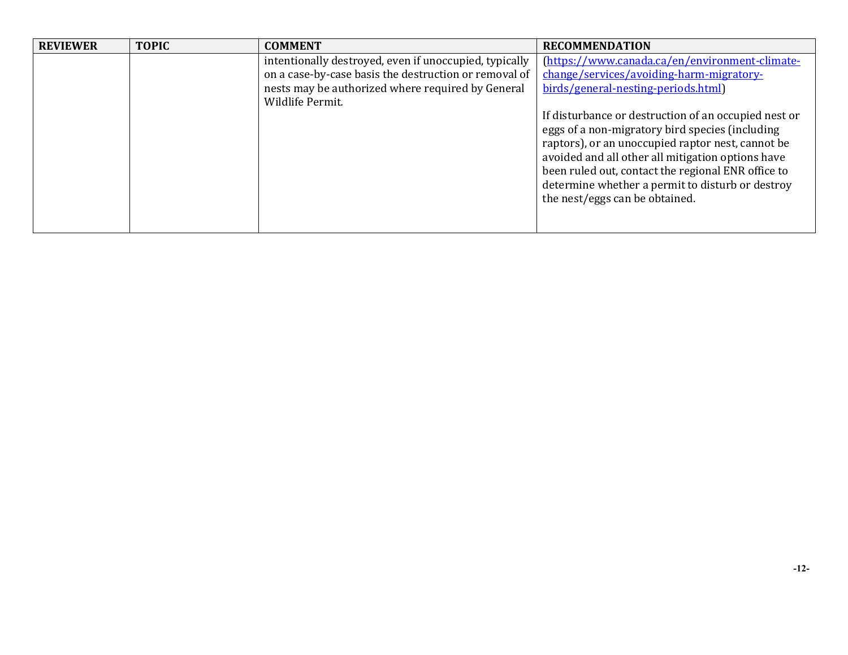| <b>REVIEWER</b> | <b>TOPIC</b> | <b>COMMENT</b>                                                                                                  | <b>RECOMMENDATION</b>                                                                                                                                                                                                                                                                                                                                         |
|-----------------|--------------|-----------------------------------------------------------------------------------------------------------------|---------------------------------------------------------------------------------------------------------------------------------------------------------------------------------------------------------------------------------------------------------------------------------------------------------------------------------------------------------------|
|                 |              | intentionally destroyed, even if unoccupied, typically<br>on a case-by-case basis the destruction or removal of | (https://www.canada.ca/en/environment-climate-                                                                                                                                                                                                                                                                                                                |
|                 |              |                                                                                                                 | change/services/avoiding-harm-migratory-                                                                                                                                                                                                                                                                                                                      |
|                 |              | nests may be authorized where required by General<br>Wildlife Permit.                                           | birds/general-nesting-periods.html)                                                                                                                                                                                                                                                                                                                           |
|                 |              |                                                                                                                 | If disturbance or destruction of an occupied nest or<br>eggs of a non-migratory bird species (including<br>raptors), or an unoccupied raptor nest, cannot be<br>avoided and all other all mitigation options have<br>been ruled out, contact the regional ENR office to<br>determine whether a permit to disturb or destroy<br>the nest/eggs can be obtained. |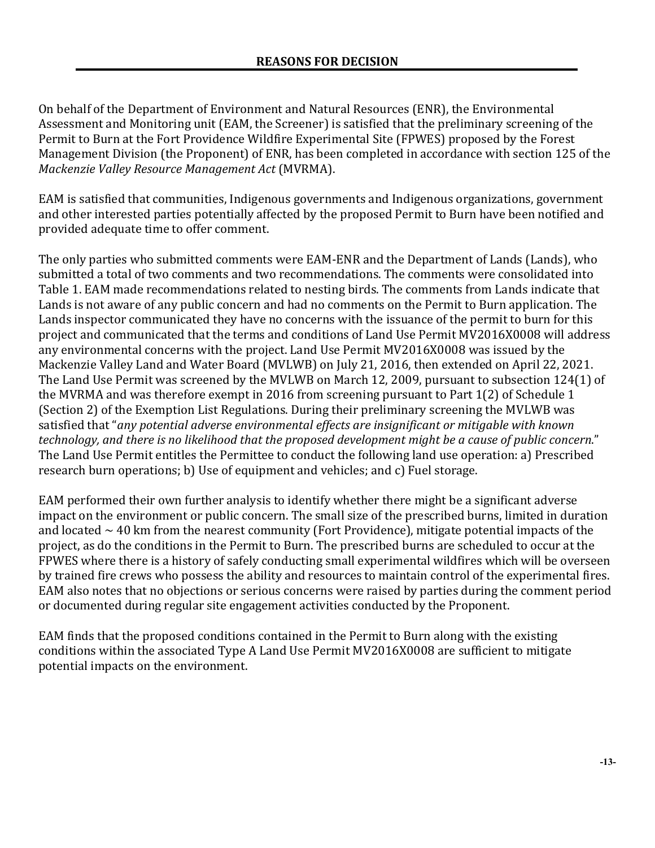On behalf of the Department of Environment and Natural Resources (ENR), the Environmental Assessment and Monitoring unit (EAM, the Screener) is satisfied that the preliminary screening of the Permit to Burn at the Fort Providence Wildfire Experimental Site (FPWES) proposed by the Forest Management Division (the Proponent) of ENR, has been completed in accordance with section 125 of the *Mackenzie Valley Resource Management Act* (MVRMA).

EAM is satisfied that communities, Indigenous governments and Indigenous organizations, government and other interested parties potentially affected by the proposed Permit to Burn have been notified and provided adequate time to offer comment.

The only parties who submitted comments were EAM-ENR and the Department of Lands (Lands), who submitted a total of two comments and two recommendations. The comments were consolidated into Table 1. EAM made recommendations related to nesting birds. The comments from Lands indicate that Lands is not aware of any public concern and had no comments on the Permit to Burn application. The Lands inspector communicated they have no concerns with the issuance of the permit to burn for this project and communicated that the terms and conditions of Land Use Permit MV2016X0008 will address any environmental concerns with the project. Land Use Permit MV2016X0008 was issued by the Mackenzie Valley Land and Water Board (MVLWB) on July 21, 2016, then extended on April 22, 2021. The Land Use Permit was screened by the MVLWB on March 12, 2009, pursuant to subsection 124(1) of the MVRMA and was therefore exempt in 2016 from screening pursuant to Part 1(2) of Schedule 1 (Section 2) of the Exemption List Regulations. During their preliminary screening the MVLWB was satisfied that "*any potential adverse environmental effects are insignificant or mitigable with known technology, and there is no likelihood that the proposed development might be a cause of public concern*." The Land Use Permit entitles the Permittee to conduct the following land use operation: a) Prescribed research burn operations; b) Use of equipment and vehicles; and c) Fuel storage.

EAM performed their own further analysis to identify whether there might be a significant adverse impact on the environment or public concern. The small size of the prescribed burns, limited in duration and located  $\sim$  40 km from the nearest community (Fort Providence), mitigate potential impacts of the project, as do the conditions in the Permit to Burn. The prescribed burns are scheduled to occur at the FPWES where there is a history of safely conducting small experimental wildfires which will be overseen by trained fire crews who possess the ability and resources to maintain control of the experimental fires. EAM also notes that no objections or serious concerns were raised by parties during the comment period or documented during regular site engagement activities conducted by the Proponent.

EAM finds that the proposed conditions contained in the Permit to Burn along with the existing conditions within the associated Type A Land Use Permit MV2016X0008 are sufficient to mitigate potential impacts on the environment.